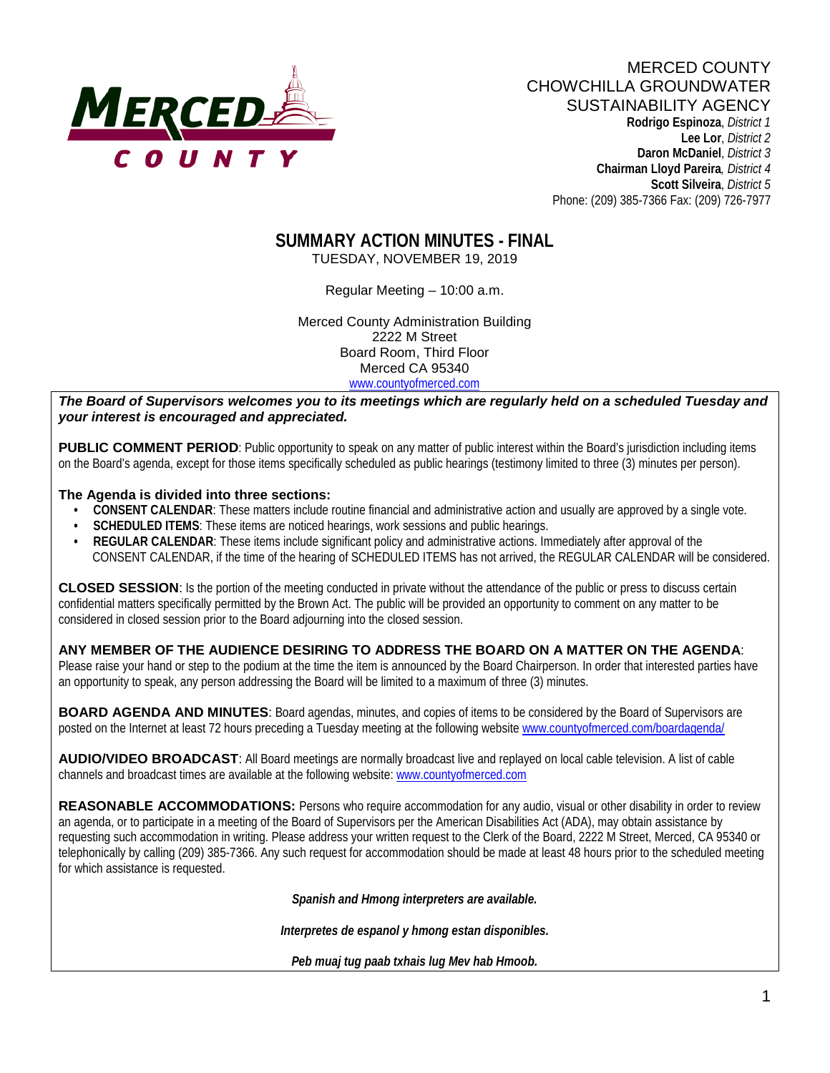

# MERCED COUNTY CHOWCHILLA GROUNDWATER SUSTAINABILITY AGENCY

 **Rodrigo Espinoza**, *District 1*  **Lee Lor**, *District 2*  **Daron McDaniel**, *District 3* **Chairman Lloyd Pareira***, District 4*  **Scott Silveira**, *District 5* Phone: (209) 385-7366 Fax: (209) 726-7977

# **SUMMARY ACTION MINUTES - FINAL**

TUESDAY, NOVEMBER 19, 2019

Regular Meeting – 10:00 a.m.

Merced County Administration Building 2222 M Street Board Room, Third Floor Merced CA 95340 www.countyofmerced.com

*The Board of Supervisors welcomes you to its meetings which are regularly held on a scheduled Tuesday and your interest is encouraged and appreciated.*

**PUBLIC COMMENT PERIOD**: Public opportunity to speak on any matter of public interest within the Board's jurisdiction including items on the Board's agenda, except for those items specifically scheduled as public hearings (testimony limited to three (3) minutes per person).

#### **The Agenda is divided into three sections:**

- **CONSENT CALENDAR**: These matters include routine financial and administrative action and usually are approved by a single vote.
- **SCHEDULED ITEMS:** These items are noticed hearings, work sessions and public hearings.
- **REGULAR CALENDAR**: These items include significant policy and administrative actions. Immediately after approval of the CONSENT CALENDAR, if the time of the hearing of SCHEDULED ITEMS has not arrived, the REGULAR CALENDAR will be considered.

**CLOSED SESSION**: Is the portion of the meeting conducted in private without the attendance of the public or press to discuss certain confidential matters specifically permitted by the Brown Act. The public will be provided an opportunity to comment on any matter to be considered in closed session prior to the Board adjourning into the closed session.

**ANY MEMBER OF THE AUDIENCE DESIRING TO ADDRESS THE BOARD ON A MATTER ON THE AGENDA**: Please raise your hand or step to the podium at the time the item is announced by the Board Chairperson. In order that interested parties have an opportunity to speak, any person addressing the Board will be limited to a maximum of three (3) minutes.

**BOARD AGENDA AND MINUTES:** Board agendas, minutes, and copies of items to be considered by the Board of Supervisors are posted on the Internet at least 72 hours preceding a Tuesday meeting at the following website [www.countyofmerced.com/boardagenda/](http://www.countyofmerced.com/boardagenda/) 

**AUDIO/VIDEO BROADCAST**: All Board meetings are normally broadcast live and replayed on local cable television. A list of cable channels and broadcast times are available at the following website[: www.countyofmerced.com](http://www.countyofmerced.com/)

**REASONABLE ACCOMMODATIONS:** Persons who require accommodation for any audio, visual or other disability in order to review an agenda, or to participate in a meeting of the Board of Supervisors per the American Disabilities Act (ADA), may obtain assistance by requesting such accommodation in writing. Please address your written request to the Clerk of the Board, 2222 M Street, Merced, CA 95340 or telephonically by calling (209) 385-7366. Any such request for accommodation should be made at least 48 hours prior to the scheduled meeting for which assistance is requested.

*Spanish and Hmong interpreters are available.*

*Interpretes de espanol y hmong estan disponibles.*

*Peb muaj tug paab txhais lug Mev hab Hmoob.*